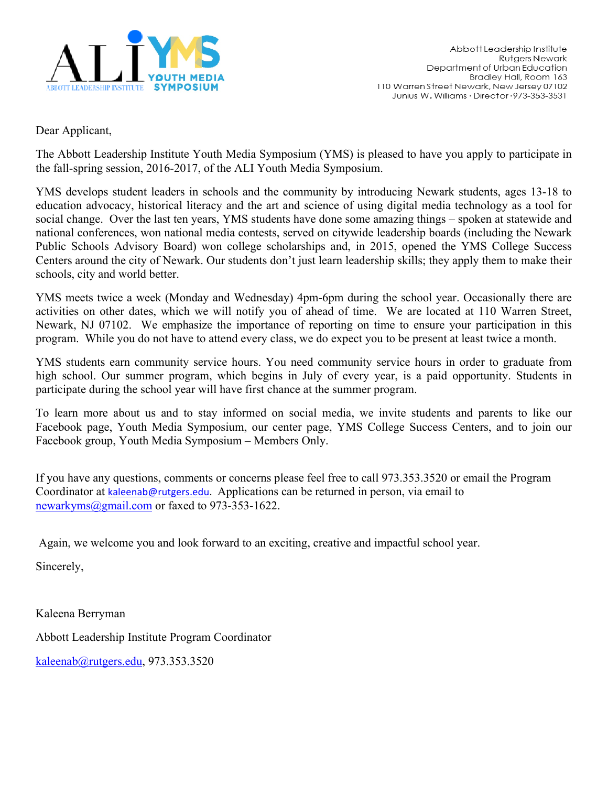

Dear Applicant,

The Abbott Leadership Institute Youth Media Symposium (YMS) is pleased to have you apply to participate in the fall-spring session, 2016-2017, of the ALI Youth Media Symposium.

YMS develops student leaders in schools and the community by introducing Newark students, ages 13-18 to education advocacy, historical literacy and the art and science of using digital media technology as a tool for social change. Over the last ten years, YMS students have done some amazing things – spoken at statewide and national conferences, won national media contests, served on citywide leadership boards (including the Newark Public Schools Advisory Board) won college scholarships and, in 2015, opened the YMS College Success Centers around the city of Newark. Our students don't just learn leadership skills; they apply them to make their schools, city and world better.

YMS meets twice a week (Monday and Wednesday) 4pm-6pm during the school year. Occasionally there are activities on other dates, which we will notify you of ahead of time. We are located at 110 Warren Street, Newark, NJ 07102. We emphasize the importance of reporting on time to ensure your participation in this program. While you do not have to attend every class, we do expect you to be present at least twice a month.

YMS students earn community service hours. You need community service hours in order to graduate from high school. Our summer program, which begins in July of every year, is a paid opportunity. Students in participate during the school year will have first chance at the summer program.

To learn more about us and to stay informed on social media, we invite students and parents to like our Facebook page, Youth Media Symposium, our center page, YMS College Success Centers, and to join our Facebook group, Youth Media Symposium – Members Only.

If you have any questions, comments or concerns please feel free to call 973.353.3520 or email the Program Coordinator at kaleenab@rutgers.edu. Applications can be returned in person, via email to newarkyms@gmail.com or faxed to 973-353-1622.

Again, we welcome you and look forward to an exciting, creative and impactful school year.

Sincerely,

Kaleena Berryman Abbott Leadership Institute Program Coordinator kaleenab@rutgers.edu, 973.353.3520